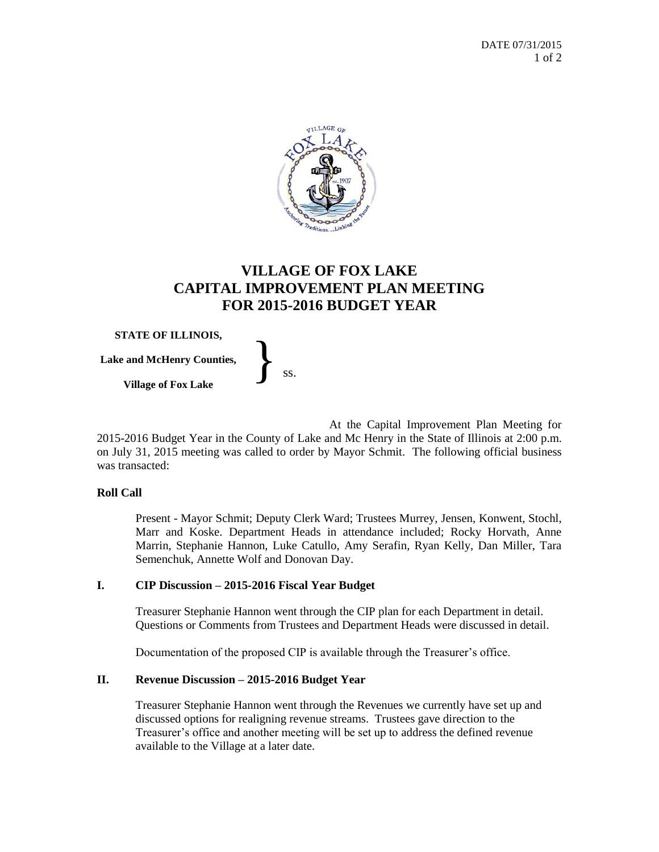

# **VILLAGE OF FOX LAKE CAPITAL IMPROVEMENT PLAN MEETING FOR 2015-2016 BUDGET YEAR**

**STATE OF ILLINOIS,**

**Lake and McHenry Counties,** THE OF ILLINOIS,<br>and McHenry Counties,<br>Village of Fox Lake ss.

At the Capital Improvement Plan Meeting for 2015-2016 Budget Year in the County of Lake and Mc Henry in the State of Illinois at 2:00 p.m. on July 31, 2015 meeting was called to order by Mayor Schmit. The following official business was transacted:

### **Roll Call**

Present - Mayor Schmit; Deputy Clerk Ward; Trustees Murrey, Jensen, Konwent, Stochl, Marr and Koske. Department Heads in attendance included; Rocky Horvath, Anne Marrin, Stephanie Hannon, Luke Catullo, Amy Serafin, Ryan Kelly, Dan Miller, Tara Semenchuk, Annette Wolf and Donovan Day.

### **I. CIP Discussion – 2015-2016 Fiscal Year Budget**

Treasurer Stephanie Hannon went through the CIP plan for each Department in detail. Questions or Comments from Trustees and Department Heads were discussed in detail.

Documentation of the proposed CIP is available through the Treasurer's office.

#### **II. Revenue Discussion – 2015-2016 Budget Year**

Treasurer Stephanie Hannon went through the Revenues we currently have set up and discussed options for realigning revenue streams. Trustees gave direction to the Treasurer's office and another meeting will be set up to address the defined revenue available to the Village at a later date.